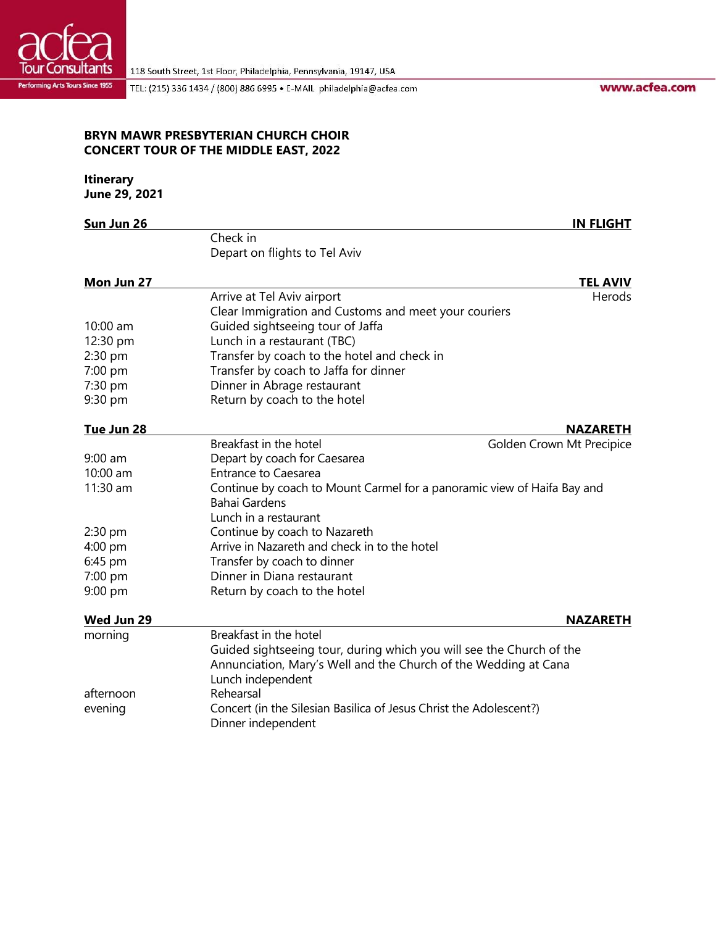

TEL: (215) 336 1434 / (800) 886 6995 · E-MAIL philadelphia@acfea.com

www.acfea.com

## **BRYN MAWR PRESBYTERIAN CHURCH CHOIR CONCERT TOUR OF THE MIDDLE EAST, 2022**

## **Itinerary**

**June 29, 2021**

| Sun Jun 26 |                                                                         | <b>IN FLIGHT</b>          |  |
|------------|-------------------------------------------------------------------------|---------------------------|--|
|            | Check in                                                                |                           |  |
|            | Depart on flights to Tel Aviv                                           |                           |  |
| Mon Jun 27 |                                                                         | <b>TEL AVIV</b>           |  |
|            | Arrive at Tel Aviv airport                                              | Herods                    |  |
|            | Clear Immigration and Customs and meet your couriers                    |                           |  |
| 10:00 am   | Guided sightseeing tour of Jaffa                                        |                           |  |
| 12:30 pm   | Lunch in a restaurant (TBC)                                             |                           |  |
| 2:30 pm    | Transfer by coach to the hotel and check in                             |                           |  |
| 7:00 pm    | Transfer by coach to Jaffa for dinner                                   |                           |  |
| 7:30 pm    | Dinner in Abrage restaurant                                             |                           |  |
| 9:30 pm    | Return by coach to the hotel                                            |                           |  |
| Tue Jun 28 |                                                                         | <b>NAZARETH</b>           |  |
|            | Breakfast in the hotel                                                  | Golden Crown Mt Precipice |  |
| 9:00 am    | Depart by coach for Caesarea                                            |                           |  |
| 10:00 am   | <b>Entrance to Caesarea</b>                                             |                           |  |
| 11:30 am   | Continue by coach to Mount Carmel for a panoramic view of Haifa Bay and |                           |  |
|            | <b>Bahai Gardens</b>                                                    |                           |  |
|            | Lunch in a restaurant                                                   |                           |  |
| 2:30 pm    | Continue by coach to Nazareth                                           |                           |  |
| 4:00 pm    | Arrive in Nazareth and check in to the hotel                            |                           |  |
| 6:45 pm    | Transfer by coach to dinner                                             |                           |  |
| 7:00 pm    | Dinner in Diana restaurant                                              |                           |  |
| 9:00 pm    | Return by coach to the hotel                                            |                           |  |
| Wed Jun 29 |                                                                         | <b>NAZARETH</b>           |  |
| morning    | Breakfast in the hotel                                                  |                           |  |
|            | Guided sightseeing tour, during which you will see the Church of the    |                           |  |
|            | Annunciation, Mary's Well and the Church of the Wedding at Cana         |                           |  |
|            | Lunch independent                                                       |                           |  |
| afternoon  | Rehearsal                                                               |                           |  |
| evening    | Concert (in the Silesian Basilica of Jesus Christ the Adolescent?)      |                           |  |
|            | Dinner independent                                                      |                           |  |
|            |                                                                         |                           |  |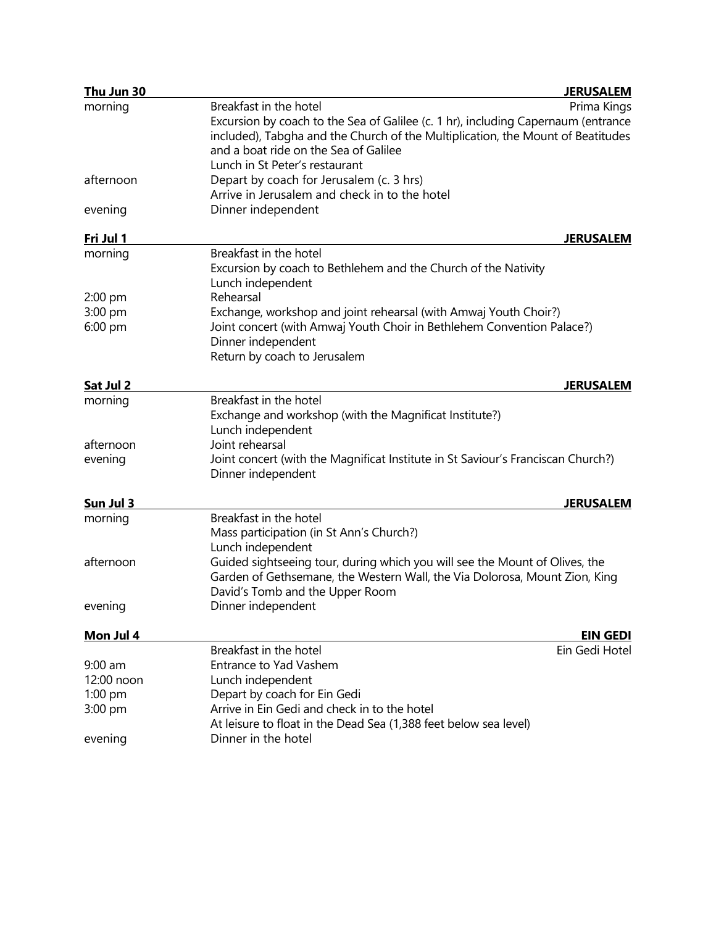| Thu Jun 30 | <b>JERUSALEM</b>                                                                                                                                                                                                                                                                         |  |
|------------|------------------------------------------------------------------------------------------------------------------------------------------------------------------------------------------------------------------------------------------------------------------------------------------|--|
| morning    | Prima Kings<br>Breakfast in the hotel<br>Excursion by coach to the Sea of Galilee (c. 1 hr), including Capernaum (entrance<br>included), Tabgha and the Church of the Multiplication, the Mount of Beatitudes<br>and a boat ride on the Sea of Galilee<br>Lunch in St Peter's restaurant |  |
| afternoon  | Depart by coach for Jerusalem (c. 3 hrs)<br>Arrive in Jerusalem and check in to the hotel                                                                                                                                                                                                |  |
| evening    | Dinner independent                                                                                                                                                                                                                                                                       |  |
| Fri Jul 1  | <b>JERUSALEM</b>                                                                                                                                                                                                                                                                         |  |
| morning    | Breakfast in the hotel<br>Excursion by coach to Bethlehem and the Church of the Nativity<br>Lunch independent                                                                                                                                                                            |  |
| 2:00 pm    | Rehearsal                                                                                                                                                                                                                                                                                |  |
| 3:00 pm    | Exchange, workshop and joint rehearsal (with Amwaj Youth Choir?)                                                                                                                                                                                                                         |  |
| 6:00 pm    | Joint concert (with Amwaj Youth Choir in Bethlehem Convention Palace?)<br>Dinner independent<br>Return by coach to Jerusalem                                                                                                                                                             |  |
| Sat Jul 2  | <b>JERUSALEM</b>                                                                                                                                                                                                                                                                         |  |
| morning    | Breakfast in the hotel<br>Exchange and workshop (with the Magnificat Institute?)<br>Lunch independent                                                                                                                                                                                    |  |
| afternoon  | Joint rehearsal                                                                                                                                                                                                                                                                          |  |
| evening    | Joint concert (with the Magnificat Institute in St Saviour's Franciscan Church?)<br>Dinner independent                                                                                                                                                                                   |  |
| Sun Jul 3  | <b>JERUSALEM</b>                                                                                                                                                                                                                                                                         |  |
| morning    | Breakfast in the hotel<br>Mass participation (in St Ann's Church?)<br>Lunch independent                                                                                                                                                                                                  |  |
| afternoon  | Guided sightseeing tour, during which you will see the Mount of Olives, the<br>Garden of Gethsemane, the Western Wall, the Via Dolorosa, Mount Zion, King<br>David's Tomb and the Upper Room                                                                                             |  |
| evening    | Dinner independent                                                                                                                                                                                                                                                                       |  |
| Mon Jul 4  | <b>EIN GEDI</b>                                                                                                                                                                                                                                                                          |  |
|            | Breakfast in the hotel<br>Ein Gedi Hotel                                                                                                                                                                                                                                                 |  |
| $9:00$ am  | <b>Entrance to Yad Vashem</b>                                                                                                                                                                                                                                                            |  |
| 12:00 noon | Lunch independent                                                                                                                                                                                                                                                                        |  |
| $1:00$ pm  | Depart by coach for Ein Gedi                                                                                                                                                                                                                                                             |  |
| 3:00 pm    | Arrive in Ein Gedi and check in to the hotel<br>At leisure to float in the Dead Sea (1,388 feet below sea level)                                                                                                                                                                         |  |
| evening    | Dinner in the hotel                                                                                                                                                                                                                                                                      |  |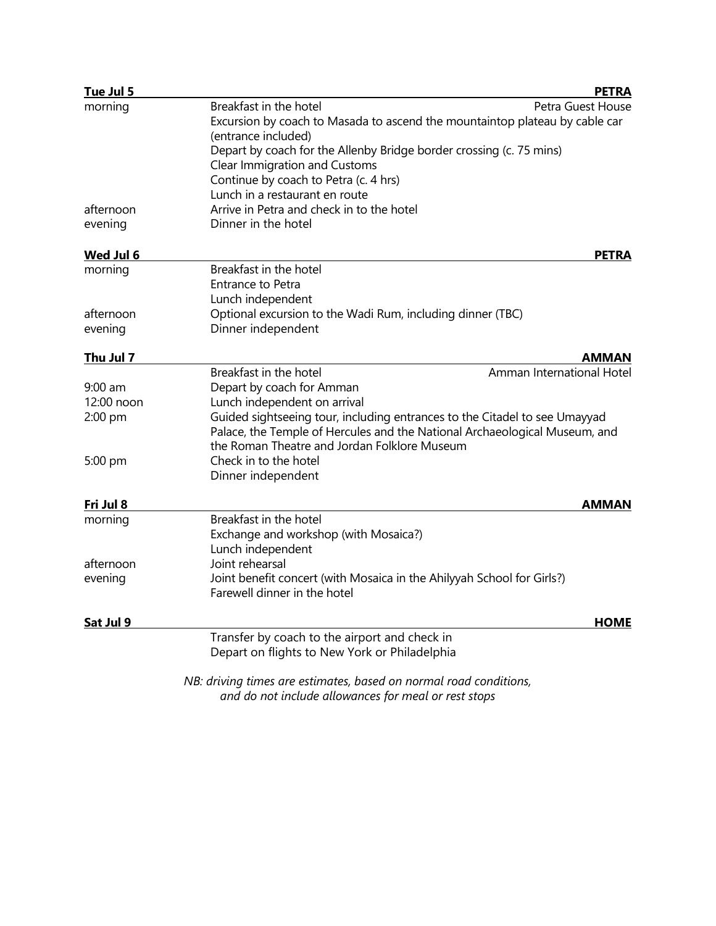| Tue Jul 5  |                                                                                                        | <b>PETRA</b>      |
|------------|--------------------------------------------------------------------------------------------------------|-------------------|
| morning    | Breakfast in the hotel<br>Excursion by coach to Masada to ascend the mountaintop plateau by cable car  | Petra Guest House |
|            | (entrance included)                                                                                    |                   |
|            | Depart by coach for the Allenby Bridge border crossing (c. 75 mins)                                    |                   |
|            | Clear Immigration and Customs                                                                          |                   |
|            | Continue by coach to Petra (c. 4 hrs)                                                                  |                   |
|            | Lunch in a restaurant en route                                                                         |                   |
| afternoon  | Arrive in Petra and check in to the hotel                                                              |                   |
| evening    | Dinner in the hotel                                                                                    |                   |
| Wed Jul 6  |                                                                                                        | <b>PETRA</b>      |
| morning    | Breakfast in the hotel                                                                                 |                   |
|            | <b>Entrance to Petra</b>                                                                               |                   |
|            | Lunch independent                                                                                      |                   |
| afternoon  | Optional excursion to the Wadi Rum, including dinner (TBC)                                             |                   |
| evening    | Dinner independent                                                                                     |                   |
| Thu Jul 7  |                                                                                                        | <b>AMMAN</b>      |
|            | Breakfast in the hotel<br>Amman International Hotel                                                    |                   |
| $9:00$ am  | Depart by coach for Amman                                                                              |                   |
| 12:00 noon | Lunch independent on arrival                                                                           |                   |
| 2:00 pm    | Guided sightseeing tour, including entrances to the Citadel to see Umayyad                             |                   |
|            | Palace, the Temple of Hercules and the National Archaeological Museum, and                             |                   |
|            | the Roman Theatre and Jordan Folklore Museum                                                           |                   |
| 5:00 pm    | Check in to the hotel                                                                                  |                   |
|            | Dinner independent                                                                                     |                   |
| Fri Jul 8  |                                                                                                        | <b>AMMAN</b>      |
| morning    | Breakfast in the hotel                                                                                 |                   |
|            | Exchange and workshop (with Mosaica?)                                                                  |                   |
|            | Lunch independent                                                                                      |                   |
| afternoon  | Joint rehearsal                                                                                        |                   |
| evening    | Joint benefit concert (with Mosaica in the Ahilyyah School for Girls?)<br>Farewell dinner in the hotel |                   |
|            |                                                                                                        |                   |
| Sat Jul 9  |                                                                                                        | HOME              |
|            | Transfer by coach to the airport and check in                                                          |                   |
|            | Depart on flights to New York or Philadelphia                                                          |                   |
|            | NB: driving times are estimates, based on normal road conditions,                                      |                   |

*and do not include allowances for meal or rest stops*